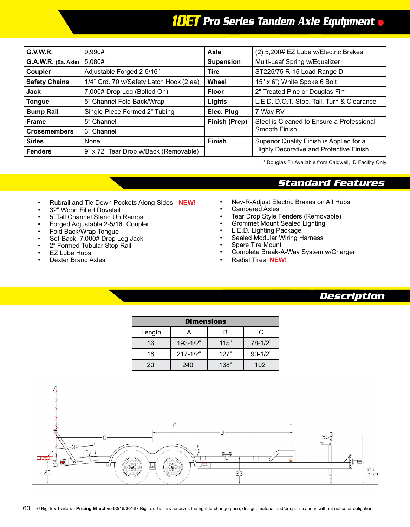## *10ET Pro Series Tandem Axle Equipment*

| G.V.W.R.             | 9,990#                                  | Axle<br>(2) 5,200# EZ Lube w/Electric Brakes |                                            |  |
|----------------------|-----------------------------------------|----------------------------------------------|--------------------------------------------|--|
| G.A.W.R. (Ea. Axle)  | 5,080#                                  | <b>Supension</b>                             | Multi-Leaf Spring w/Equalizer              |  |
| Coupler              | Adjustable Forged 2-5/16"               | Tire                                         | ST225/75 R-15 Load Range D                 |  |
| <b>Safety Chains</b> | 1/4" Grd. 70 w/Safety Latch Hook (2 ea) | 15" x 6"; White Spoke 6 Bolt<br>Wheel        |                                            |  |
| <b>Jack</b>          | 7,000# Drop Leg (Bolted On)             | <b>Floor</b>                                 | 2" Treated Pine or Douglas Fir*            |  |
| <b>Tongue</b>        | 5" Channel Fold Back/Wrap               | Lights                                       | L.E.D. D.O.T. Stop, Tail, Turn & Clearance |  |
| <b>Bump Rail</b>     | Single-Piece Formed 2" Tubing           | Elec. Plug                                   | 7-Way RV                                   |  |
| <b>Frame</b>         | 5" Channel                              | Finish (Prep)                                | Steel is Cleaned to Ensure a Professional  |  |
| <b>Crossmembers</b>  | 3" Channel                              |                                              | Smooth Finish.                             |  |
| <b>Sides</b>         | None                                    | <b>Finish</b>                                | Superior Quality Finish is Applied for a   |  |
| Fenders              | 9" x 72" Tear Drop w/Back (Removable)   |                                              | Highly Decorative and Protective Finish.   |  |

\* Douglas Fir Available from Caldwell, ID Facility Only

## *Standard Features*

- Rubrail and Tie Down Pockets Along Sides **NEW!**
- 32" Wood Filled Dovetail
- 5' Tall Channel Stand Up Ramps
- Forged Adjustable 2-5/16" Coupler
- Fold Back/Wrap Tongue
- Set-Back, 7,000# Drop Leg Jack
- 2" Formed Tubular Stop Rail
- EZ Lube Hubs
- Dexter Brand Axles
- Nev-R-Adjust Electric Brakes on All Hubs
- Cambered Axles
- Tear Drop Style Fenders (Removable)
- Grommet Mount Sealed Lighting
- L.E.D. Lighting Package
- Sealed Modular Wiring Harness
- Spare Tire Mount
- Complete Break-A-Way System w/Charger
- Radial Tires **NEW!**

## *Description*

| <b>Dimensions</b> |              |      |             |  |  |  |
|-------------------|--------------|------|-------------|--|--|--|
| Length            |              | R    |             |  |  |  |
| 16'               | $193 - 1/2"$ | 115" | $78 - 1/2"$ |  |  |  |
| 18'               | $217 - 1/2"$ | 127" | $90 - 1/2"$ |  |  |  |
| $20^{\circ}$      | 240"         | 138" | 102"        |  |  |  |